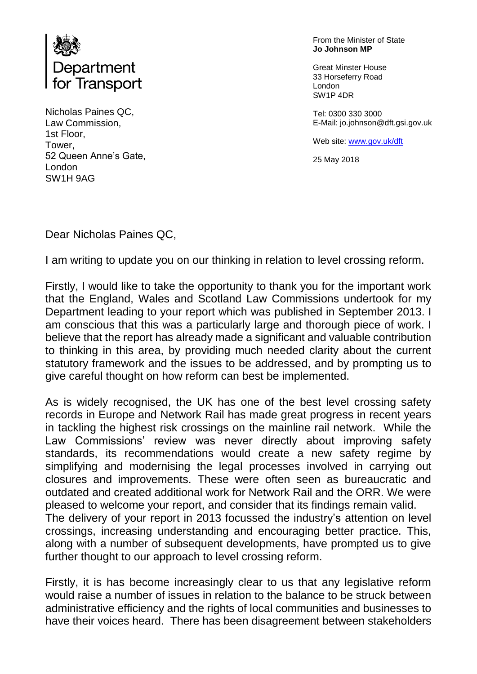

Nicholas Paines QC, Law Commission, 1st Floor, Tower, 52 Queen Anne's Gate, London SW1H 9AG

From the Minister of State **Jo Johnson MP**

Great Minster House 33 Horseferry Road London SW1P 4DR

Tel: 0300 330 3000 E-Mail: jo.johnson@dft.gsi.gov.uk

Web site: [www.gov.uk/dft](http://www.gov.uk/dft)

25 May 2018

Dear Nicholas Paines QC,

I am writing to update you on our thinking in relation to level crossing reform.

Firstly, I would like to take the opportunity to thank you for the important work that the England, Wales and Scotland Law Commissions undertook for my Department leading to your report which was published in September 2013. I am conscious that this was a particularly large and thorough piece of work. I believe that the report has already made a significant and valuable contribution to thinking in this area, by providing much needed clarity about the current statutory framework and the issues to be addressed, and by prompting us to give careful thought on how reform can best be implemented.

As is widely recognised, the UK has one of the best level crossing safety records in Europe and Network Rail has made great progress in recent years in tackling the highest risk crossings on the mainline rail network. While the Law Commissions' review was never directly about improving safety standards, its recommendations would create a new safety regime by simplifying and modernising the legal processes involved in carrying out closures and improvements. These were often seen as bureaucratic and outdated and created additional work for Network Rail and the ORR. We were pleased to welcome your report, and consider that its findings remain valid. The delivery of your report in 2013 focussed the industry's attention on level crossings, increasing understanding and encouraging better practice. This, along with a number of subsequent developments, have prompted us to give further thought to our approach to level crossing reform.

Firstly, it is has become increasingly clear to us that any legislative reform would raise a number of issues in relation to the balance to be struck between administrative efficiency and the rights of local communities and businesses to have their voices heard. There has been disagreement between stakeholders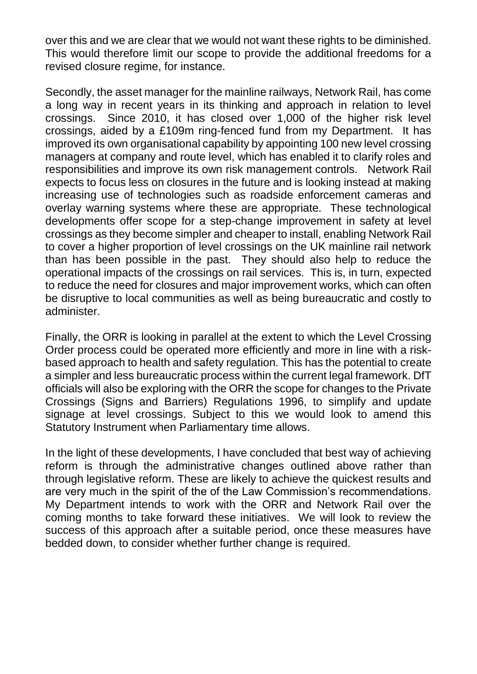over this and we are clear that we would not want these rights to be diminished. This would therefore limit our scope to provide the additional freedoms for a revised closure regime, for instance.

Secondly, the asset manager for the mainline railways, Network Rail, has come a long way in recent years in its thinking and approach in relation to level crossings. Since 2010, it has closed over 1,000 of the higher risk level crossings, aided by a £109m ring-fenced fund from my Department. It has improved its own organisational capability by appointing 100 new level crossing managers at company and route level, which has enabled it to clarify roles and responsibilities and improve its own risk management controls. Network Rail expects to focus less on closures in the future and is looking instead at making increasing use of technologies such as roadside enforcement cameras and overlay warning systems where these are appropriate. These technological developments offer scope for a step-change improvement in safety at level crossings as they become simpler and cheaper to install, enabling Network Rail to cover a higher proportion of level crossings on the UK mainline rail network than has been possible in the past. They should also help to reduce the operational impacts of the crossings on rail services. This is, in turn, expected to reduce the need for closures and major improvement works, which can often be disruptive to local communities as well as being bureaucratic and costly to administer.

Finally, the ORR is looking in parallel at the extent to which the Level Crossing Order process could be operated more efficiently and more in line with a riskbased approach to health and safety regulation. This has the potential to create a simpler and less bureaucratic process within the current legal framework. DfT officials will also be exploring with the ORR the scope for changes to the Private Crossings (Signs and Barriers) Regulations 1996, to simplify and update signage at level crossings. Subject to this we would look to amend this Statutory Instrument when Parliamentary time allows.

In the light of these developments, I have concluded that best way of achieving reform is through the administrative changes outlined above rather than through legislative reform. These are likely to achieve the quickest results and are very much in the spirit of the of the Law Commission's recommendations. My Department intends to work with the ORR and Network Rail over the coming months to take forward these initiatives. We will look to review the success of this approach after a suitable period, once these measures have bedded down, to consider whether further change is required.